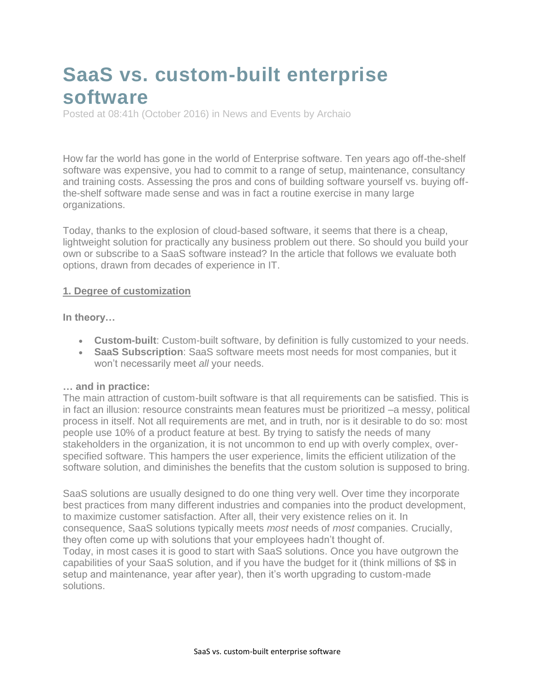# **SaaS vs. custom-built enterprise software**

Posted at 08:41h (October 2016) in News and [Events](http://www.archaio.com/category/news-and-events/) by [Archaio](http://www.archaio.com/author/archaioedit/)

How far the world has gone in the world of Enterprise software. Ten years ago off-the-shelf software was expensive, you had to commit to a range of setup, maintenance, consultancy and training costs. Assessing the pros and cons of building software yourself vs. buying offthe-shelf software made sense and was in fact a routine exercise in many large organizations.

Today, thanks to the explosion of cloud-based software, it seems that there is a cheap, lightweight solution for practically any business problem out there. So should you build your own or subscribe to a SaaS software instead? In the article that follows we evaluate both options, drawn from decades of experience in IT.

#### **1. Degree of customization**

**In theory…**

- **Custom-built**: Custom-built software, by definition is fully customized to your needs.
- **SaaS Subscription**: SaaS software meets most needs for most companies, but it won't necessarily meet *all* your needs.

#### **… and in practice:**

The main attraction of custom-built software is that all requirements can be satisfied. This is in fact an illusion: resource constraints mean features must be prioritized –a messy, political process in itself. Not all requirements are met, and in truth, nor is it desirable to do so: most people use 10% of a product feature at best. By trying to satisfy the needs of many stakeholders in the organization, it is not uncommon to end up with overly complex, overspecified software. This hampers the user experience, limits the efficient utilization of the software solution, and diminishes the benefits that the custom solution is supposed to bring.

SaaS solutions are usually designed to do one thing very well. Over time they incorporate best practices from many different industries and companies into the product development, to maximize customer satisfaction. After all, their very existence relies on it. In consequence, SaaS solutions typically meets *most* needs of *most* companies. Crucially, they often come up with solutions that your employees hadn't thought of. Today, in most cases it is good to start with SaaS solutions. Once you have outgrown the capabilities of your SaaS solution, and if you have the budget for it (think millions of \$\$ in setup and maintenance, year after year), then it's worth upgrading to custom-made solutions.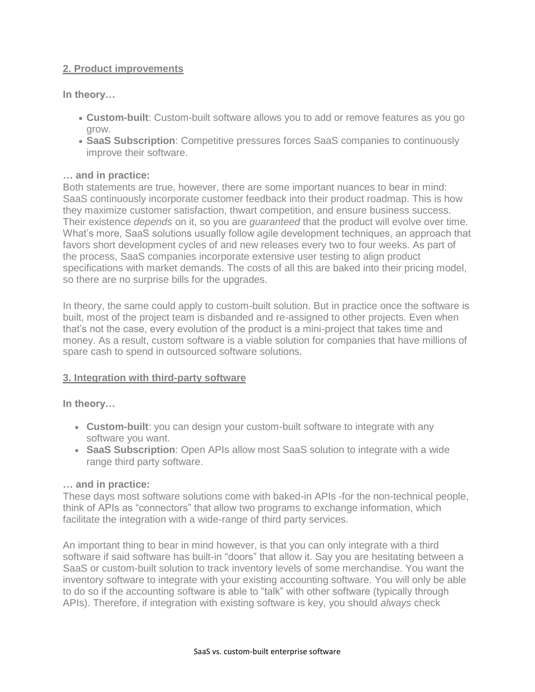### **2. Product improvements**

**In theory…**

- **Custom-built**: Custom-built software allows you to add or remove features as you go grow.
- **SaaS Subscription**: Competitive pressures forces SaaS companies to continuously improve their software.

#### **… and in practice:**

Both statements are true, however, there are some important nuances to bear in mind: SaaS continuously incorporate customer feedback into their product roadmap. This is how they maximize customer satisfaction, thwart competition, and ensure business success. Their existence *depends* on it, so you are *guaranteed* that the product will evolve over time. What's more, SaaS solutions usually follow agile development techniques, an approach that favors short development cycles of and new releases every two to four weeks. As part of the process, SaaS companies incorporate extensive user testing to align product specifications with market demands. The costs of all this are baked into their pricing model, so there are no surprise bills for the upgrades.

In theory, the same could apply to custom-built solution. But in practice once the software is built, most of the project team is disbanded and re-assigned to other projects. Even when that's not the case, every evolution of the product is a mini-project that takes time and money. As a result, custom software is a viable solution for companies that have millions of spare cash to spend in outsourced software solutions.

#### **3. Integration with third-party software**

**In theory…**

- **Custom-built**: you can design your custom-built software to integrate with any software you want.
- **SaaS Subscription**: Open APIs allow most SaaS solution to integrate with a wide range third party software.

#### **… and in practice:**

These days most software solutions come with baked-in APIs -for the non-technical people, think of APIs as "connectors" that allow two programs to exchange information, which facilitate the integration with a wide-range of third party services.

An important thing to bear in mind however, is that you can only integrate with a third software if said software has built-in "doors" that allow it. Say you are hesitating between a SaaS or custom-built solution to track inventory levels of some merchandise. You want the inventory software to integrate with your existing accounting software. You will only be able to do so if the accounting software is able to "talk" with other software (typically through APIs). Therefore, if integration with existing software is key, you should *always* check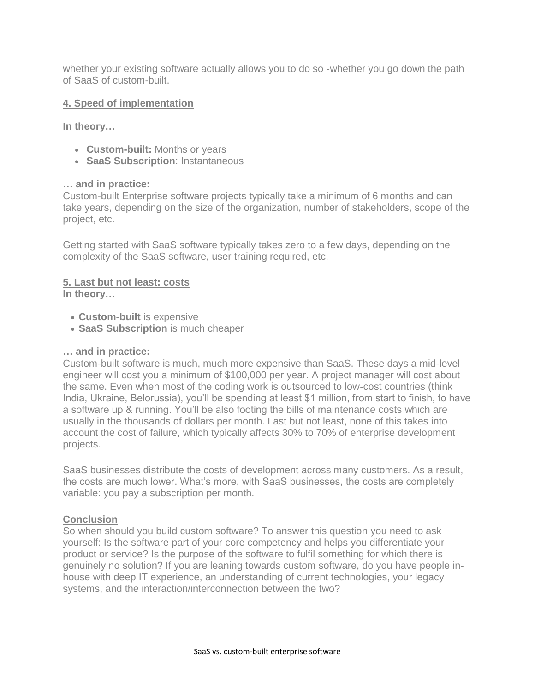whether your existing software actually allows you to do so -whether you go down the path of SaaS of custom-built.

# **4. Speed of implementation**

**In theory…**

- **Custom-built:** Months or years
- **SaaS Subscription**: Instantaneous

#### **… and in practice:**

Custom-built Enterprise software projects typically take a minimum of 6 months and can take years, depending on the size of the organization, number of stakeholders, scope of the project, etc.

Getting started with SaaS software typically takes zero to a few days, depending on the complexity of the SaaS software, user training required, etc.

# **5. Last but not least: costs**

**In theory…**

- **Custom-built** is expensive
- **SaaS Subscription** is much cheaper

#### **… and in practice:**

Custom-built software is much, much more expensive than SaaS. These days a mid-level engineer will cost you a minimum of \$100,000 per year. A project manager will cost about the same. Even when most of the coding work is outsourced to low-cost countries (think India, Ukraine, Belorussia), you'll be spending at least \$1 million, from start to finish, to have a software up & running. You'll be also footing the bills of maintenance costs which are usually in the thousands of dollars per month. Last but not least, none of this takes into account the cost of failure, which typically affects 30% to 70% of enterprise development projects.

SaaS businesses distribute the costs of development across many customers. As a result, the costs are much lower. What's more, with SaaS businesses, the costs are completely variable: you pay a subscription per month.

# **Conclusion**

So when should you build custom software? To answer this question you need to ask yourself: Is the software part of your core competency and helps you differentiate your product or service? Is the purpose of the software to fulfil something for which there is genuinely no solution? If you are leaning towards custom software, do you have people inhouse with deep IT experience, an understanding of current technologies, your legacy systems, and the interaction/interconnection between the two?